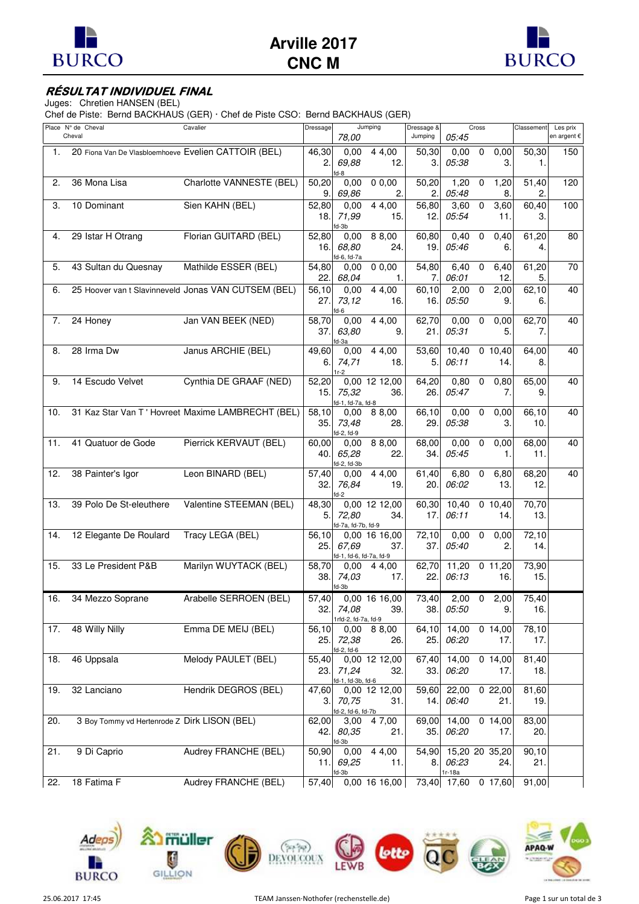



## **RÉSULTAT INDIVIDUEL FINAL**

Juges: Chretien HANSEN (BEL)

Chef de Piste: Bernd BACKHAUS (GER) · Chef de Piste CSO: Bernd BACKHAUS (GER)

|     | Place N° de Cheval<br>Cheval                         | Cavalier                                            | Dressage      | 78,00                            | Jumping                | Dressage &<br>Jumping | 05:45           | Cross                      | Classement   | Les prix<br>en argent € |
|-----|------------------------------------------------------|-----------------------------------------------------|---------------|----------------------------------|------------------------|-----------------------|-----------------|----------------------------|--------------|-------------------------|
| 1.  | 20 Fiona Van De Vlasbloemhoeve Evelien CATTOIR (BEL) |                                                     | 46,30<br>2.   | 0,00<br>69,88                    | 4 4,00<br>12.          | 50,30<br>3.           | 0,00<br>05:38   | $\mathbf 0$<br>0,00<br>3.  | 50,30<br>1.  | 150                     |
| 2.  | 36 Mona Lisa                                         | Charlotte VANNESTE (BEL)                            | 50,20<br>9.   | $fd-8$<br>0,00<br>69,86          | 0,0,00<br>2.           | 50,20<br>2.           | 1,20<br>05:48   | 1,20<br>0<br>8.            | 51,40<br>2.  | 120                     |
| 3.  | 10 Dominant                                          | Sien KAHN (BEL)                                     | 52,80<br>18.  | 0,00<br>71,99<br>fd-3b           | 4 4,00<br>15.          | 56,80<br>12.          | 3,60<br>05:54   | 3,60<br>0<br>11.           | 60,40<br>3.  | 100                     |
| 4.  | 29 Istar H Otrang                                    | Florian GUITARD (BEL)                               | 52,80<br>16.  | 0.00<br>68.80<br>fd-6, fd-7a     | 8 8,00<br>24.          | 60,80<br>19.          | 0,40<br>05:46   | 0,40<br>0<br>6.            | 61,20<br>4.  | 80                      |
| 5.  | 43 Sultan du Quesnay                                 | Mathilde ESSER (BEL)                                | 54,80<br>22.  | 0.00<br>68,04                    | 0,0,00<br>1.           | 54,80<br>7.           | 6,40<br>06:01   | 6,40<br>$\mathbf 0$<br>12. | 61,20<br>5.  | 70                      |
| 6.  |                                                      | 25 Hoover van t Slavinneveld Jonas VAN CUTSEM (BEL) | 56,10<br>27.  | 0,00<br>73,12<br>fd-6            | 4 4,00<br>16.          | 60,10<br>16.          | 2,00<br>05:50   | $\mathbf 0$<br>2,00<br>9.  | 62,10<br>6.  | 40                      |
| 7.  | 24 Honey                                             | Jan VAN BEEK (NED)                                  | 58,70<br>37.  | 0,00<br>63.80<br>$fd-3a$         | 4 4,00<br>9.           | 62,70<br>21.          | 0,00<br>05:31   | $\mathbf 0$<br>0,00<br>5.  | 62,70<br>7.  | 40                      |
| 8.  | 28 Irma Dw                                           | Janus ARCHIE (BEL)                                  | 49,60<br>6.   | 0.00<br>74,71<br>1r-2            | 4 4,00<br>18.          | 53,60<br>5.           | 10,40<br>06:11  | 0 10,40<br>14.             | 64,00<br>8.  | 40                      |
| 9.  | 14 Escudo Velvet                                     | Cynthia DE GRAAF (NED)                              | 52,20<br>15.  | 75,32<br>fd-1, fd-7a, fd-8       | 0,00 12 12,00<br>36.   | 64,20<br>26.          | 0,80<br>05:47   | 0<br>0,80<br>7.            | 65,00<br>9.  | 40                      |
| 10. |                                                      | 31 Kaz Star Van T' Hovreet Maxime LAMBRECHT (BEL)   | 58,10<br>35.  | 0.00<br>73,48<br>$fd-2, fd-9$    | 8 8,00<br>28.          | 66,10<br>29.          | 0,00<br>05:38   | $\mathbf 0$<br>0,00<br>3.  | 66,10<br>10. | 40                      |
| 11. | 41 Quatuor de Gode                                   | Pierrick KERVAUT (BEL)                              | 60,00<br>40.  | 0,00<br>65,28<br>$fd-2, fd-3b$   | 8 8,00<br>22.          | 68,00<br>34.          | 0,00<br>05:45   | 0<br>0,00<br>1.            | 68,00<br>11. | 40                      |
| 12. | 38 Painter's Igor                                    | Leon BINARD (BEL)                                   | 57,40<br>32.  | 0,00<br>76,84<br>fd-2            | 4 4,00<br>19.          | 61,40<br>20.          | 6,80<br>06:02   | 6,80<br>0<br>13.           | 68,20<br>12. | 40                      |
| 13. | 39 Polo De St-eleuthere                              | Valentine STEEMAN (BEL)                             | 48,30<br>5.   | 72,80<br>fd-7a, fd-7b, fd-9      | 0,00 12 12,00<br>34.   | 60,30<br>17.          | 10,40<br>06:11  | 0 10,40<br>14.             | 70,70<br>13. |                         |
| 14. | 12 Elegante De Roulard                               | Tracy LEGA (BEL)                                    | 56,10<br>25.  | 67,69<br>fd-1, fd-6, fd-7a, fd-9 | 0,00 16 16,00<br>37.   | 72,10<br>37.          | 0,00<br>05:40   | 0,00<br>0<br>2.            | 72,10<br>14. |                         |
| 15. | 33 Le President P&B                                  | Marilyn WUYTACK (BEL)                               | 58,70<br>38.  | 0,00<br>74,03<br>$fd-3b$         | 4 4,00<br>17.          | 62,70<br>22.          | 11,20<br>06:13  | $0$ 11,20<br>16.           | 73,90<br>15. |                         |
| 16. | 34 Mezzo Soprane                                     | Arabelle SERROEN (BEL)                              | 57,40<br>32.  | 74,08<br>1rfd-2, fd-7a, fd-9     | 0,00 16 16,00<br>39.   | 73,40<br>38.          | 2,00<br>05:50   | 2,00<br>0<br>9.            | 75,40<br>16. |                         |
| 17. | 48 Willy Nilly                                       | Emma DE MEIJ (BEL)                                  | 56,10<br>25.  | 0,00<br>72,38<br>$fd-2, fd-6$    | 8 8,00<br>26.          | 64,10<br>25.          | 14,00<br>06:20  | 0, 14, 00<br>17.           | 78,10<br>17. |                         |
| 18. | 46 Uppsala                                           | Melody PAULET (BEL)                                 | 55,40<br>23.  | 71,24<br>fd-1, fd-3b, fd-6       | 0,00 12 12,00<br>32.   | 67,40<br>33.          | 14,00<br>06:20  | 0, 14, 00<br>17.           | 81,40<br>18. |                         |
| 19. | 32 Lanciano                                          | Hendrik DEGROS (BEL)                                | 47,60<br>З.   | 70,75<br>fd-2, fd-6, fd-7b       | $0,00$ 12 12,00<br>31. | 59,60<br>14.          | 22,00<br>06:40  | 022,00<br>21.              | 81,60<br>19. |                         |
| 20. | 3 Boy Tommy vd Hertenrode Z Dirk LISON (BEL)         |                                                     | 62,00         | 3,00<br>42. 80,35<br>$fd-3b$     | 4 7,00<br>21.          | 69,00<br>35.          | 14,00<br>06:20  | 0, 14, 00<br>17.           | 83,00<br>20. |                         |
| 21. | 9 Di Caprio                                          | Audrey FRANCHE (BEL)                                | 50,90<br>11.1 | 0,00<br>69,25<br>fd-3b           | 4 4,00<br>11.          | 54,90<br>8.           | 06:23<br>1r-18a | 15,20 20 35,20<br>24.      | 90,10<br>21. |                         |
| 22. | 18 Fatima F                                          | Audrey FRANCHE (BEL)                                | 57,40         |                                  | 0,00 16 16,00          |                       |                 | 73,40 17,60 0 17,60        | 91,00        |                         |

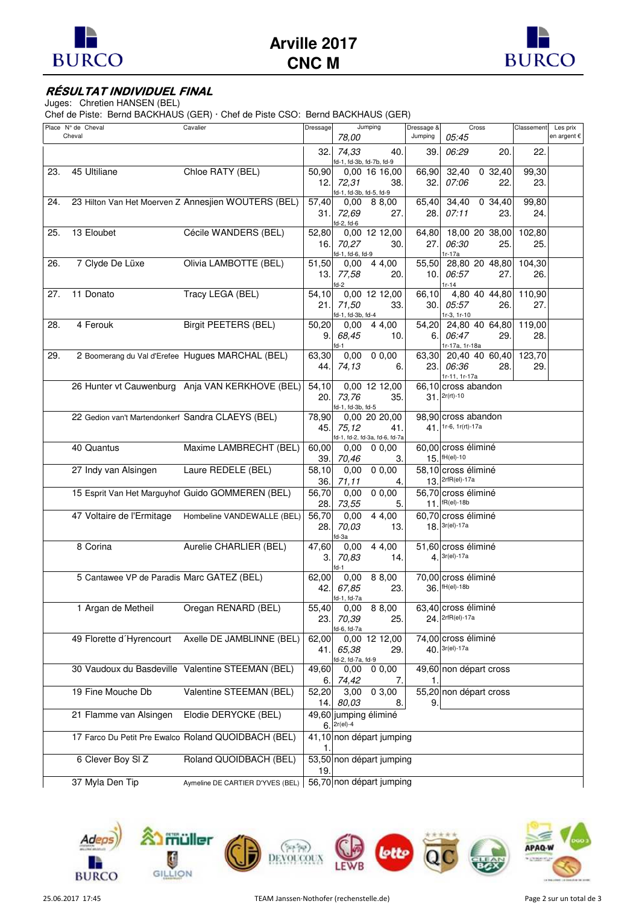



## **RÉSULTAT INDIVIDUEL FINAL**

Juges: Chretien HANSEN (BEL)

Chef de Piste: Bernd BACKHAUS (GER) · Chef de Piste CSO: Bernd BACKHAUS (GER)

|     | Place Nº de Cheval<br>Cheval                      | Cavalier                                            | Dressage      | Jumping<br>78,00                        |                            | Dressage &<br>Jumping | Cross<br>05:45                          |           | Classement | Les prix<br>en argent € |
|-----|---------------------------------------------------|-----------------------------------------------------|---------------|-----------------------------------------|----------------------------|-----------------------|-----------------------------------------|-----------|------------|-------------------------|
|     |                                                   |                                                     |               | 32. 74,33<br>fd-1, fd-3b, fd-7b, fd-9   | 40.                        | 39.                   | 06:29                                   | 20.       | 22.        |                         |
| 23. | 45 Ultiliane                                      | Chloe RATY (BEL)                                    | 50,90         | 0,00 16 16,00                           |                            | 66,90                 | 32,40                                   | 0, 32, 40 | 99,30      |                         |
|     |                                                   |                                                     | 12.           | 72.31<br>fd-1, fd-3b, fd-5, fd-9        | 38.                        | 32.                   | 07:06                                   | 22.       | 23.        |                         |
| 24. |                                                   | 23 Hilton Van Het Moerven Z Annesjien WOUTERS (BEL) | 57,40         | $0,00$ 8 8,00                           |                            | 65,40                 | 34,40                                   | 0, 34, 40 | 99,80      |                         |
|     |                                                   |                                                     | 31.           | 72.69                                   | 27.                        | 28.                   | 07:11                                   | 23.       | 24.        |                         |
| 25. | 13 Eloubet                                        | Cécile WANDERS (BEL)                                | 52,80         | fd-2, fd-6<br>0,00 12 12,00             |                            | 64,80                 | 18,00 20 38,00                          |           | 102,80     |                         |
|     |                                                   |                                                     | 16.           | 70,27                                   | 30.                        | 27.                   | 06:30                                   | 25.       | 25.        |                         |
| 26. | 7 Clyde De Lüxe                                   | Olivia LAMBOTTE (BEL)                               | 51,50         | fd-1, fd-6, fd-9<br>$0,00$ 4 4,00       |                            | 55,50                 | $1r-17a$<br>28,80 20 48,80              |           | 104,30     |                         |
|     |                                                   |                                                     | 13.           | 77,58                                   | 20.                        | 10.                   | 06:57                                   | 27.       | 26.        |                         |
| 27. | 11 Donato                                         | Tracy LEGA (BEL)                                    | 54,10         | fd-2<br>0,00 12 12,00                   |                            | 66,10                 | $1r - 14$<br>4,80 40 44,80              |           | 110,90     |                         |
|     |                                                   |                                                     | 21.           | 71,50                                   | 33.                        | 30.                   | 05:57                                   | 26.       | 27.        |                         |
| 28. | 4 Ferouk                                          | <b>Birgit PEETERS (BEL)</b>                         | 50,20         | fd-1, fd-3b, fd-4<br>$0,00 \quad 44,00$ |                            | 54,20                 | $1r-3, 1r-10$<br>24,80 40 64,80         |           | 119,00     |                         |
|     |                                                   |                                                     | 9.            | 68,45                                   | 10.                        | 6.                    | 06:47                                   | 29.       | 28.        |                         |
| 29. |                                                   | 2 Boomerang du Val d'Erefee Hugues MARCHAL (BEL)    | 63,30         | fd-1<br>0.00                            | 0,0,00                     | 63,30                 | 1r-17a, 1r-18a<br>20,40 40 60,40        |           | 123,70     |                         |
|     |                                                   |                                                     | 44.           | 74,13                                   | 6.                         | 23.                   | 06:36                                   | 28.       | 29.        |                         |
|     |                                                   | 26 Hunter vt Cauwenburg Anja VAN KERKHOVE (BEL)     | 54,10         | 0,00 12 12,00                           |                            | 66,10                 | 1r-11, 1r-17a<br>cross abandon          |           |            |                         |
|     |                                                   |                                                     | 20.           | 73,76                                   | 35.                        |                       | $31.$ $2r(rt) - 10$                     |           |            |                         |
|     | 22 Gedion van't Martendonkerf Sandra CLAEYS (BEL) |                                                     | 78,90         | fd-1, fd-3b, fd-5<br>0,00 20 20,00      |                            |                       | 98,90 cross abandon                     |           |            |                         |
|     |                                                   |                                                     | 45.           | 75,12<br>fd-1, fd-2, fd-3a, fd-6, fd-7a | 41.                        |                       | 41. 1r-6, 1r(rt)-17a                    |           |            |                         |
|     | 40 Quantus                                        | Maxime LAMBRECHT (BEL)                              | 60,00         | $0,00$ 0 $0,00$                         |                            |                       | 60,00 cross éliminé                     |           |            |                         |
|     |                                                   |                                                     | 39.           | 70,46                                   | 3.                         |                       | 15. fH(el)-10                           |           |            |                         |
|     | 27 Indy van Alsingen                              | Laure REDELE (BEL)                                  | 58,10<br>36.  | $0,00$ 0 $0,00$<br>71, 11               | 4.                         |                       | 58,10 cross éliminé<br>13. 2rfR(el)-17a |           |            |                         |
|     |                                                   | 15 Esprit Van Het Marguyhof Guido GOMMEREN (BEL)    | 56,70         | 0,00                                    | $\sqrt{0}$ 0,00            |                       | 56,70 cross éliminé                     |           |            |                         |
|     |                                                   |                                                     | 28.           | 73,55                                   | 5.                         |                       | $11.$ $fR(el)-18b$                      |           |            |                         |
|     | 47 Voltaire de l'Ermitage                         | Hombeline VANDEWALLE (BEL)                          | 56,70<br>28.  | 0,00<br>70,03                           | $\overline{4}$ 4,00<br>13. |                       | 60,70 cross éliminé<br>$18.3r$ (el)-17a |           |            |                         |
|     | 8 Corina                                          | Aurelie CHARLIER (BEL)                              | 47,60         | fd-3a<br>0,00                           | 4 4,00                     |                       | 51,60 cross éliminé                     |           |            |                         |
|     |                                                   |                                                     | 3.            | 70,83                                   | 14.                        | 4.                    | $3r$ (el)-17a                           |           |            |                         |
|     | 5 Cantawee VP de Paradis Marc GATEZ (BEL)         |                                                     | 62,00         | $f-d-1$<br>0,00                         | 8 8,00                     |                       | 70,00 cross éliminé                     |           |            |                         |
|     |                                                   |                                                     | 42.           | 67,85                                   | 23.                        |                       | 36. fH(el)-18b                          |           |            |                         |
|     | 1 Argan de Metheil                                | Oregan RENARD (BEL)                                 | 55,40         | fd-1, fd-7a<br>$0,00$ 8 8,00            |                            |                       | 63,40 cross éliminé                     |           |            |                         |
|     |                                                   |                                                     | 23.           | 70.39                                   | 25.                        |                       | 24. 2rfR(el)-17a                        |           |            |                         |
|     | 49 Florette d'Hyrencourt                          | Axelle DE JAMBLINNE (BEL)                           | 62,00         | d-6, fd-7a<br>0,00 12 12,00             |                            |                       | 74,00 cross éliminé                     |           |            |                         |
|     |                                                   |                                                     | 41.           | 65,38                                   | 29.                        |                       | 40. 3r(el)-17a                          |           |            |                         |
|     |                                                   | 30 Vaudoux du Basdeville Valentine STEEMAN (BEL)    | 49,60         | fd-2, fd-7a, fd-9<br>0,00               | 0,0,00                     |                       | 49,60 non départ cross                  |           |            |                         |
|     |                                                   |                                                     | 6.            | 74,42                                   | 7.                         | 1.                    |                                         |           |            |                         |
|     | 19 Fine Mouche Db                                 | Valentine STEEMAN (BEL)                             | 52,20<br>14.I | 3,00<br>80,03                           | 03,00<br>8.                | 9.                    | 55,20 non départ cross                  |           |            |                         |
|     | 21 Flamme van Alsingen                            | Elodie DERYCKE (BEL)                                |               | 49,60 jumping éliminé<br>$6.$ 2r(el)-4  |                            |                       |                                         |           |            |                         |
|     |                                                   | 17 Farco Du Petit Pre Ewalco Roland QUOIDBACH (BEL) |               | 41,10 non départ jumping                |                            |                       |                                         |           |            |                         |
|     | 6 Clever Boy SI Z                                 | Roland QUOIDBACH (BEL)                              | 19.           | 53,50 non départ jumping                |                            |                       |                                         |           |            |                         |
|     | 37 Myla Den Tip                                   | Aymeline DE CARTIER D'YVES (BEL)                    |               | 56,70 non départ jumping                |                            |                       |                                         |           |            |                         |